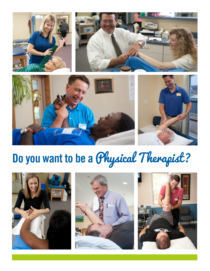







# **Do you want to be a** Physical Therapist?





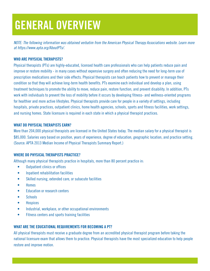# **GENERAL OVERVIEW**

*NOTE: The following information was obtained verbatim from the American Physical Therapy Associations website. Learn more at https://www.apta.org/AboutPTs/.*

#### **WHO ARE PHYSICAL THERAPISTS?**

Physical therapists (PTs) are highly-educated, licensed health care professionals who can help patients reduce pain and improve or restore mobility - in many cases without expensive surgery and often reducing the need for long-term use of prescription medications and their side effects. Physical therapists can teach patients how to prevent or manage their condition so that they will achieve long-term health benefits. PTs examine each individual and develop a plan, using treatment techniques to promote the ability to move, reduce pain, restore function, and prevent disability. In addition, PTs work with individuals to prevent the loss of mobility before it occurs by developing fitness- and wellness-oriented programs for healthier and more active lifestyles. Physical therapists provide care for people in a variety of settings, including hospitals, private practices, outpatient clinics, home health agencies, schools, sports and fitness facilities, work settings, and nursing homes. State licensure is required in each state in which a physical therapist practices.

#### **WHAT DO PHYSICAL THERAPISTS EARN?**

More than 204,000 physical therapists are licensed in the United States today. The median salary for a physical therapist is \$85,000. Salaries vary based on position, years of experience, degree of education, geographic location, and practice setting. (Source: APTA 2013 Median Income of Physical Therapists Summary Report.)

#### **WHERE DO PHYSICAL THERAPISTS PRACTICE?**

Although many physical therapists practice in hospitals, more than 80 percent practice in:

- Outpatient clinics or offices
- Inpatient rehabilitation facilities
- Skilled nursing, extended care, or subacute facilities
- Homes
- Education or research centers
- Schools
- Hospices
- Industrial, workplace, or other occupational environments
- Fitness centers and sports training facilities

#### **WHAT ARE THE EDUCATIONAL REQUIREMENTS FOR BECOMING A PT?**

All physical therapists must receive a graduate degree from an accredited physical therapist program before taking the national licensure exam that allows them to practice. Physical therapists have the most specialized education to help people restore and improve motion.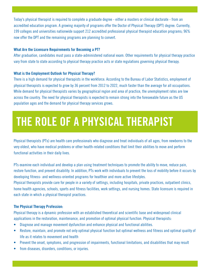Today's physical therapist is required to complete a graduate degree - either a masters or clinical doctorate - from an accredited education program. A growing majority of programs offer the Doctor of Physical Therapy (DPT) degree. Currently, 199 colleges and universities nationwide support 212 accredited professional physical therapist education programs; 96% now offer the DPT and the remaining programs are planning to convert.

#### **What Are the Licensure Requirements for Becoming a PT?**

After graduation, candidates must pass a state-administered national exam. Other requirements for physical therapy practice vary from state to state according to physical therapy practice acts or state regulations governing physical therapy.

#### **What is the Employment Outlook for Physical Therapy?**

There is a high demand for physical therapists in the workforce. According to the Bureau of Labor Statistics, employment of physical therapists is expected to grow by 36 percent from 2012 to 2022, much faster than the average for all occupations. While demand for physical therapists varies by geographical region and area of practice, the unemployment rates are low across the country. The need for physical therapists is expected to remain strong into the foreseeable future as the US population ages and the demand for physical therapy services grows.

## **THE ROLE OF A PHYSICAL THERAPIST**

Physical therapists (PTs) are health care professionals who diagnose and treat individuals of all ages, from newborns to the very oldest, who have medical problems or other health-related conditions that limit their abilities to move and perform functional activities in their daily lives.

PTs examine each individual and develop a plan using treatment techniques to promote the ability to move, reduce pain, restore function, and prevent disability. In addition, PTs work with individuals to prevent the loss of mobility before it occurs by developing fitness- and wellness-oriented programs for healthier and more active lifestyles.

Physical therapists provide care for people in a variety of settings, including hospitals, private practices, outpatient clinics, home health agencies, schools, sports and fitness facilities, work settings, and nursing homes. State licensure is required in each state in which a physical therapist practices.

#### **The Physical Therapy Profession:**

Physical therapy is a dynamic profession with an established theoretical and scientific base and widespread clinical applications in the restoration, maintenance, and promotion of optimal physical function. Physical therapists:

- Diagnose and manage movement dysfunction and enhance physical and functional abilities.
- Restore, maintain, and promote not only optimal physical function but optimal wellness and fitness and optimal quality of life as it relates to movement and health
- Prevent the onset, symptoms, and progression of impairments, functional limitations, and disabilities that may result
- from diseases, disorders, conditions, or injuries.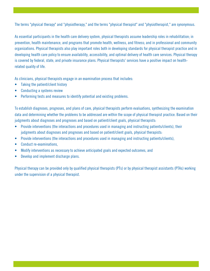The terms "physical therapy" and "physiotherapy," and the terms "physical therapist" and "physiotherapist," are synonymous.

As essential participants in the health care delivery system, physical therapists assume leadership roles in rehabilitation; in prevention, health maintenance, and programs that promote health, wellness, and fitness; and in professional and community organizations. Physical therapists also play important roles both in developing standards for physical therapist practice and in developing health care policy to ensure availability, accessibility, and optimal delivery of health care services. Physical therapy is covered by federal, state, and private insurance plans. Physical therapists' services have a positive impact on healthrelated quality of life.

As clinicians, physical therapists engage in an examination process that includes:

- Taking the patient/client history
- Conducting a systems review
- Performing tests and measures to identify potential and existing problems.

To establish diagnoses, prognoses, and plans of care, physical therapists perform evaluations, synthesizing the examination data and determining whether the problems to be addressed are within the scope of physical therapist practice. Based on their judgments about diagnoses and prognoses and based on patient/client goals, physical therapists:

- Provide interventions (the interactions and procedures used in managing and instructing patients/clients), their judgments about diagnoses and prognoses and based on patient/client goals, physical therapists:
- Provide interventions (the interactions and procedures used in managing and instructing patients/clients),
- Conduct re-examinations,
- Modify interventions as necessary to achieve anticipated goals and expected outcomes, and
- Develop and implement discharge plans.

Physical therapy can be provided only by qualified physical therapists (PTs) or by physical therapist assistants (PTAs) working under the supervision of a physical therapist.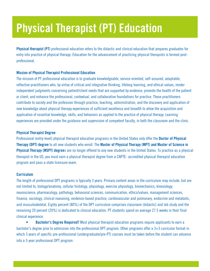# **Physical Therapist (PT) Education**

**Physical therapist (PT)** professional education refers to the didactic and clinical education that prepares graduates for entry into practice of physical therapy. Education for the advancement of practicing physical therapists is termed postprofessional.

#### **Mission of Physical Therapist Professional Education**

The mission of PT professional education is to graduate knowledgeable, service-oriented, self-assured, adaptable, reflective practitioners who, by virtue of critical and integrative thinking, lifelong learning, and ethical values, render independent judgments concerning patient/client needs that are supported by evidence; promote the health of the patient or client; and enhance the professional, contextual, and collaborative foundations for practice. These practitioners contribute to society and the profession through practice, teaching, administration, and the discovery and application of new knowledge about physical therapy experiences of sufficient excellence and breadth to allow the acquisition and application of essential knowledge, skills, and behaviors as applied to the practice of physical therapy. Learning experiences are provided under the guidance and supervision of competent faculty, in both the classroom and the clinic.

#### **Physical Therapist Degree**

Professional (entry-level) physical therapist education programs in the United States only offer the **Doctor of Physical Therapy (DPT) degree** to all new students who enroll. The **Master of Physical Therapy (MPT) and Master of Science in Physical Therapy (MSPT) degree**s are no longer offered to any new students in the United States. To practice as a physical therapist in the US, you must earn a physical therapist degree from a [CAPTE](http://www.capteonline.org/Home.aspx)- accredited physical therapist education program and pass a state licensure exam.

#### **Curriculum**

The length of professional DPT programs is typically 3 years. Primary content areas in the curriculum may include, but are not limited to, biology/anatomy, cellular histology, physiology, exercise physiology, biomechanics, kinesiology, neuroscience, pharmacology, pathology, behavioral sciences, communication, ethics/values, management sciences, finance, sociology, clinical reasoning, evidence-based practice, cardiovascular and pulmonary, endocrine and metabolic, and musculoskeletal. Eighty percent (80%) of the DPT curriculum comprises classroom (didactic) and lab study and the remaining 20 percent (20%) is dedicated to clinical education. PT students spend on average 27.5 weeks in their final clinical experience.

**Bachelor's Degree Required?** Most physical therapist education programs require applicants to earn a bachelor's degree prior to admission into the professional DPT program. Other programs offer a 3+3 curricular format in which 3 years of specific pre-professional (undergraduate/pre-PT) courses must be taken before the student can advance into a 3-year professional DPT program.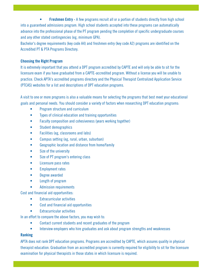**Freshmen Entry** - A few programs recruit all or a portion of students directly from high school into a guaranteed admissions program. High school students accepted into these programs can automatically advance into the professional phase of the PT program pending the completion of specific undergraduate courses and any other stated contingencies (eg, minimum GPA).

Bachelor's degree requirements (key code A4) and freshmen entry (key code A2) programs are identified on the [Accredited PT & PTA Programs Directory.](https://www.apta.org/ProspectiveStudents/Programs/)

#### **Choosing the Right Program**

It is extremely important that you attend a DPT program accredited by CAPTE and will only be able to sit for the licensure exam if you have graduated from a CAPTE-accredited program. Without a license you will be unable to practice. Check APTA's [accredited programs directory](https://www.apta.org/ProspectiveStudents/Programs/) and the [Physical Therapist Centralized Application Service](http://www.ptcas.org/Directory/)  [\(PTCAS\)](http://www.ptcas.org/Directory/) websites for a list and descriptions of DPT education programs.

A visit to one or more programs is also a valuable means for selecting the programs that best meet your educational goals and personal needs. You should consider a variety of factors when researching DPT education programs:

- Program structure and curriculum
- Types of clinical education and training opportunities
- Faculty composition and cohesiveness (years working together)
- Student demographics
- Facilities (eg, classrooms and labs)
- Campus setting (eg, rural, urban, suburban)
- Geographic location and distance from home/family
- Size of the university
- Size of PT program's entering class
- Licensure pass rates
- Employment rates
- Degree awarded
- Length of program
- Admission requirements

Cost and financial aid opportunities:

- Extracurricular activities
- Cost and financial aid opportunities
- **Extracurricular activities**

In an effort to compare the above factors, you may wish to:

- Contact current students and recent graduates of the program
- Interview employers who hire graduates and ask about program strengths and weaknesses

#### **Ranking**

APTA does not rank DPT education programs. Programs are accredited by [CAPTE,](https://www.apta.org/capte) which assures quality in physical therapist education. Graduation from an accredited program is currently required for eligibility to sit for the licensure examination for physical therapists in those states in which licensure is required.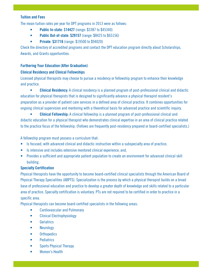#### **Tuition and Fees**

The mean tuition rates per year for DPT programs in 2013 were as follows:

- **Public In-state**: \$**14427** (range: \$3387 to \$45340)
- **Public Out-of-state**: **\$29157** (range: \$8425 to \$65156)
- **Private**: **\$31716** (range: \$19500 to \$94020)

Check the [directory of accredited programs](http://www.capteonline.org/Programs/) and contact the DPT education program directly about [Scholarships,](http://www.apta.org/CurrentStudents/ScholarshipsAwards/)  [Awards, and Grants](http://www.apta.org/CurrentStudents/ScholarshipsAwards/) opportunities.

#### **Furthering Your Education (After Graduation)**

#### **Clinical Residency and Clinical Fellowships**

Licensed physical therapists may choose to pursue a residency or fellowship program to enhance their knowledge and practice.

 **• Clinical Residency:** A clinical residency is a planned program of post-professional clinical and didactic education for physical therapists that is designed to significantly advance a physical therapist resident's preparation as a provider of patient care services in a defined area of clinical practice. It combines opportunities for ongoing clinical supervision and mentoring with a theoretical basis for advanced practice and scientific inquiry.

 **• Clinical Fellowship:** A clinical fellowship is a planned program of post-professional clinical and didactic education for a physical therapist who demonstrates clinical expertise in an area of clinical practice related to the practice focus of the fellowship. (Fellows are frequently post-residency prepared or board-certified specialists.)

A fellowship program must possess a curriculum that:

- Is focused, with advanced clinical and didactic instruction within a subspecialty area of practice;
- Is intensive and includes extensive mentored clinical experience; and,
- Provides a sufficient and appropriate patient population to create an environment for advanced clinical skill building.

#### **Specialty Certification**

Physical therapists have the opportunity to become board-certified clinical specialists through the [American Board of](https://www.apta.org/ABPTS)  [Physical Therapy Specialities \(ABPTS\)](https://www.apta.org/ABPTS). Specialization is the process by which a physical therapist builds on a broad base of professional education and practice to develop a greater depth of knowledge and skills related to a particular area of practice. Specialty certification is voluntary. PTs are not required to be certified in order to practice in a specific area.

Physical therapists can become board-certified specialists in the following areas:

- Cardiovascular and Pulmonary
- Clinical Electrophysiology
- Geriatrics
- Neurology
- Orthopedics
- Pediatrics
- Sports Physical Therapy
- Women's Health